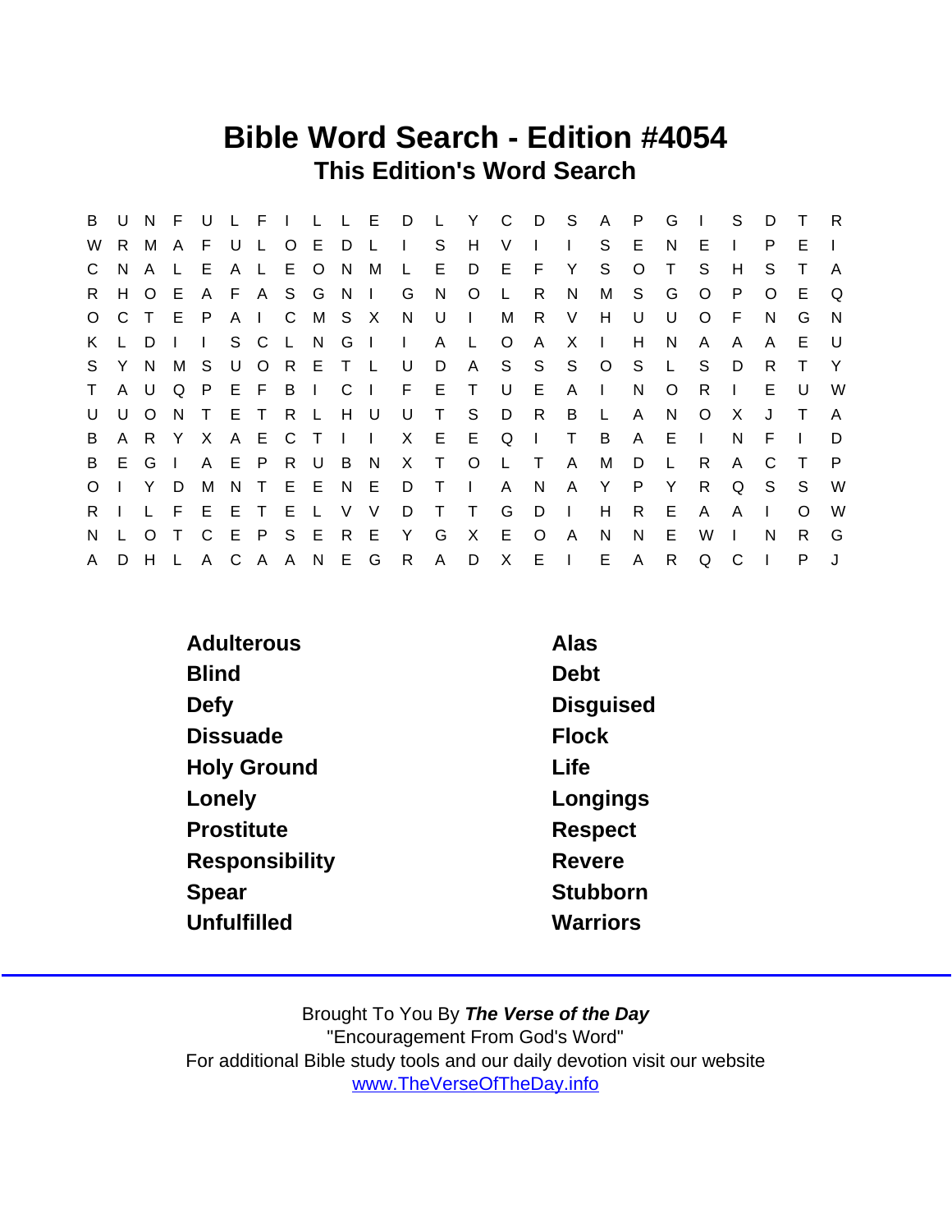## Bible Word Search - Edition #4054 This Edition's Word Search

| B            | U            | N F            |     | - U          | $L$ $F$ $L$ |         |               |     | L L E D      |                | $\mathsf{L}$ .    | <sup>Y</sup> |              | C D          | $^{\circ}$ S | A              | P       | G            |              | S            | D        | $\top$ | R,           |
|--------------|--------------|----------------|-----|--------------|-------------|---------|---------------|-----|--------------|----------------|-------------------|--------------|--------------|--------------|--------------|----------------|---------|--------------|--------------|--------------|----------|--------|--------------|
| W            | R.           | M              | A   | F.           | U L         | $\circ$ | E D L         |     |              | $\blacksquare$ | S.                | H            | V            |              |              | S              | E       | N            | E.           | $\mathbf{I}$ | P        | F      |              |
| $\mathsf{C}$ | N.           | $\mathsf{A}$   |     | E            | A L         | E O     |               | N.  | M            | $\mathsf{L}$   | E                 | D            | - E          | F            | Y            | S              | $\circ$ | Т            | S            | H            | S        |        | A            |
| R.           | H            | $\circ$        | E.  |              |             |         | A F A S G N I |     |              | G              | N.                | $\circ$      |              | - R          | N            | М              | S.      | G            | $\circ$      | P.           | $\Omega$ | E      | $\Omega$     |
| $\circ$      | C.           | $\top$         | E P |              | A I C       |         |               |     | M S X N      |                | U                 | $\Box$       | М            | $\mathsf{R}$ | V            | H              | U       | U            | $\circ$      | -F.          | N.       | G      | $\mathsf{N}$ |
| K.           |              | D.             |     | $\mathbf{L}$ | S C L N     |         |               | G I |              | $\mathbf{L}$   | A                 | L.           | $\circ$      | A            | X            | $\perp$        | H       | N            | A            | A            | A        | E.     | - U          |
|              | S Y N        |                | M   | S            |             |         | UORETL        |     |              | U              | D                 |              | A S S        |              | S            | $\overline{O}$ | S.      | $\mathsf{L}$ | S            | D            | R        | T      | - Y          |
| T            | $\mathsf{A}$ | $\cup$         | O.  | $\mathsf{P}$ | EFBI        |         |               | C   | $\mathbf{I}$ | $F$ E          |                   | $\top$       | U            | E            | $A \mid$     |                | N       | $\circ$      | R.           | $\mathbf{L}$ | E.       | U      | W            |
| U            | U            | $\circ$        | N   | $\top$       | E T         | R L     |               | H U |              | U              | $\top$            | S            | D            | R            | B            | $-L$           | A       | N            | $\circ$      | X            | J        | $\top$ | A            |
| B            |              | A R Y          |     | X            |             |         | A E C T I I   |     |              |                | X E               | E            | Q            | $\sim 1$ .   | $\top$       | B              | A       | Е            | $\mathbf{L}$ | N            | E        |        | D            |
| B            |              | E G I          |     |              | A E P R U   |         |               | B N |              |                | $X$ T             | $\circ$      | $\mathsf{L}$ | $\top$       | $\mathsf{A}$ | М              | D       |              | R            | A            |          | $\top$ | P.           |
| $\circ$      |              | $\mathsf{I}$ Y | D   | M            | N T E E     |         |               | N E |              | D              | $\top$            | $\mathbf{L}$ | A            | N            | $\mathsf{A}$ | Y              | P.      | Y            | R.           | Q            | -S       | S.     | W            |
| $R_{\perp}$  |              | $\mathsf{L}$   | F.  | E            | ETE         |         | $\mathbb{L}$  | V   | V            | D              | $\top$            | $\top$       | G            | D            | $\mathbf{L}$ | H              | R       | E.           | A            | A            |          | O      | W            |
| N            |              | $\Omega$       |     | $\mathsf{C}$ | EPSE        |         |               | R E |              | Y              | G                 | $\mathsf{X}$ | E            | $\circ$      | $\mathsf{A}$ | N              | N       | Е            | W            |              | N        | R.     | G            |
| $\mathsf{A}$ | D            | H              |     | A            |             |         |               |     |              |                | C A A N E G R A D |              |              | X E I        |              | E.             | A       | $\mathsf{R}$ | Q            | C            |          | P      |              |

| Adulterous         | Alas            |
|--------------------|-----------------|
| <b>Blind</b>       | Debt            |
| Defy               | Disguised       |
| <b>Dissuade</b>    | <b>Flock</b>    |
| <b>Holy Ground</b> | Life            |
| Lonely             | Longings        |
| <b>Prostitute</b>  | Respect         |
| Responsibility     | Revere          |
| Spear              | Stubborn        |
| Unfulfilled        | <b>Warriors</b> |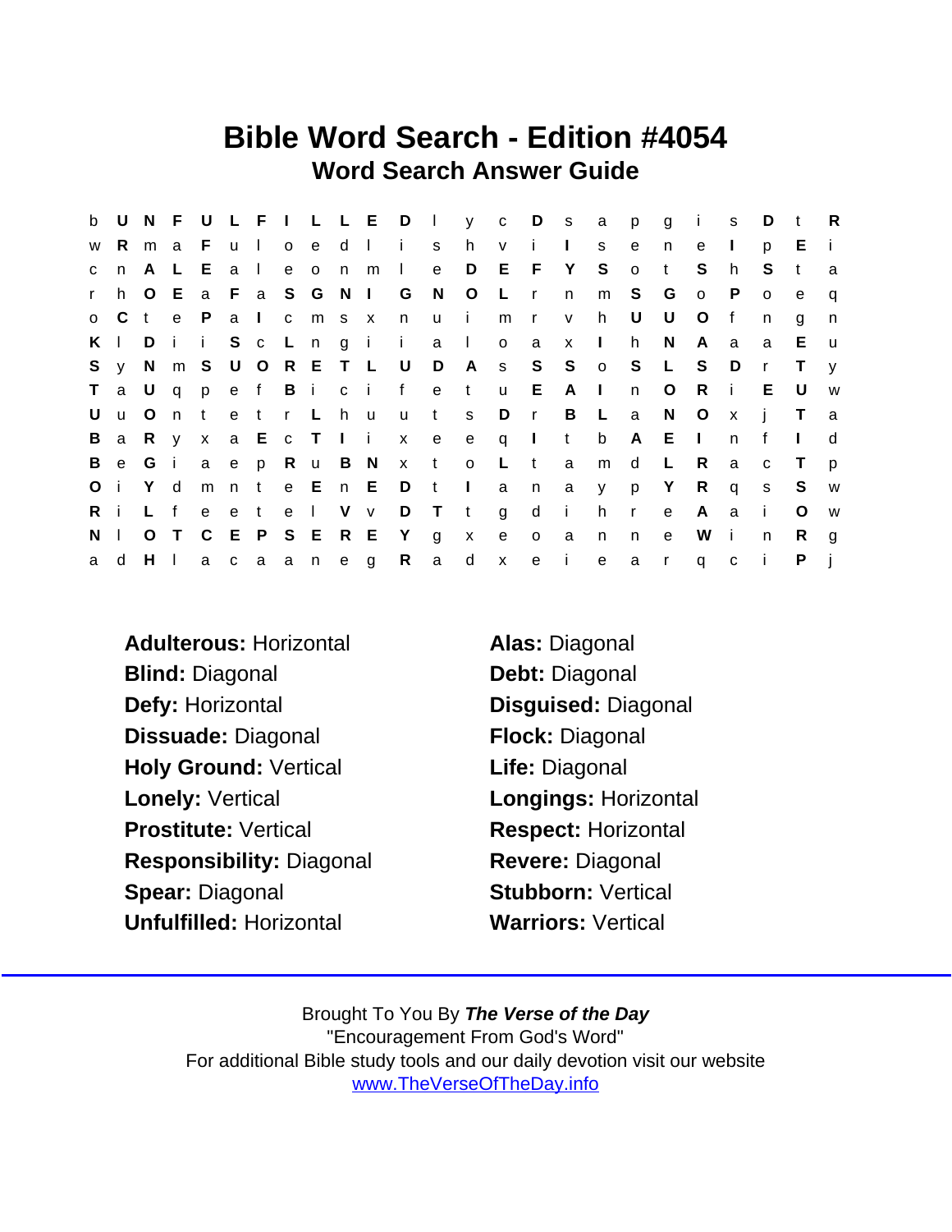## Bible Word Search - Edition #4054 Word Search Answer Guide

|              |               |              |                           |              |       |     |               |                     |              |                           |                              |                |                |                 | b U N F U L F I L L E D I y c D s a | p            | $\overline{g}$ | $\sim$ i $\sim$ | S            | D            | $-t$         | R            |
|--------------|---------------|--------------|---------------------------|--------------|-------|-----|---------------|---------------------|--------------|---------------------------|------------------------------|----------------|----------------|-----------------|-------------------------------------|--------------|----------------|-----------------|--------------|--------------|--------------|--------------|
| W            | R.            | m a          |                           | - F -        | u I   |     |               |                     | o e d l i    |                           | s h                          | V              | i.             | $\mathbf{L}$    | S.                                  | e            | n              | e               | $\Box$       | D.           | E            | -i-          |
| $\mathbf{C}$ | n             | $\mathsf{A}$ | $\mathsf{L}$              | E.           | a I   |     | e o n m       |                     | $\mathbf{L}$ | e                         | $\Box$                       | E F Y          |                |                 | S                                   | $\circ$      | $\mathsf{t}$   | S.              | h            | S.           | $\mathbf{t}$ | a            |
| $\mathbf{r}$ | h.            |              | O E                       |              |       |     |               |                     |              | a F a S G N I G N O       |                              | $\mathsf{L}$   | $\mathsf{r}$   | n               | m                                   | S            | G              | $\circ$         | P            | $\Omega$     | e            | q            |
|              | $0\quad C$    | $\mathbf{t}$ | $-e$                      | $\mathsf{P}$ |       | a I | c m s x       |                     | $\mathsf{n}$ | u i                       |                              | m              | $\mathsf{r}$   | V               | h.                                  | U            | U              | $\circ$         | $\mathsf{f}$ | n.           | g            | $\mathsf{n}$ |
|              | $K \parallel$ | D            | $\mathbf{i}$ $\mathbf{i}$ |              |       |     |               |                     |              | Sc L n g i i a l          |                              | $\overline{O}$ | $\overline{a}$ | $x \mid$        |                                     | h.           | N.             | A               | a            | a            | E.           | <b>u</b>     |
| S.           | <b>y</b>      |              |                           |              |       |     |               | N m S U O R E T L U |              | $\Box$                    |                              |                |                |                 | A s S S o S L                       |              |                | S               | D            | $\mathsf{r}$ | Τ            | $\mathsf{v}$ |
| $\mathsf T$  |               |              |                           |              |       |     |               |                     |              | a U q p e f B i c i f e t |                              | u E A I        |                |                 |                                     | n            | $\circ$        | Ri              |              | E.           | U            | W            |
| U            | $\mathbf{u}$  | $\circ$      | n                         | t            |       |     | etr Lhu       |                     | <b>u</b>     | t s                       |                              | D              | $\mathsf{r}$   | B L             |                                     | a            | N              | $\circ$         | $\mathbf{x}$ | $\mathbf{i}$ | $\top$       | a            |
|              |               |              |                           |              |       |     |               |                     |              |                           | Ba R y x a E c T I i x e e q |                | $\mathbf{I}$ t |                 | b                                   | $\mathsf{A}$ | E              | $\sim 1$        | n            | $\mathbf{f}$ |              | <sub>d</sub> |
| B            | $\mathbf{e}$  | G            | $\mathbf{i}$              |              |       |     | a e p R u B N |                     |              |                           | x t o L                      |                | $-t$           | a               | m                                   | $\mathsf{d}$ | L.             | R.              | a            | $\mathbf{C}$ | $\top$       | $\mathsf{D}$ |
| Oi           |               | Yd           |                           | m            | n t   |     |               |                     |              | e E n E D t I             |                              | a              |                | n a y           |                                     | p            | $\mathsf{Y}$   | $\mathsf{R}$    | $\mathsf{q}$ | S            | S            | <b>W</b>     |
| Ri           |               | L f          |                           |              | e e t |     | e I V v       |                     |              |                           | $D$ T t g                    |                | $\mathsf{d}$   | $\sim$ i $\sim$ | h                                   | $\mathsf{r}$ | $\mathbf{e}$   | A.              | $\alpha$     | $\mathbf{i}$ | $\circ$      | W            |
| $N \mid$     |               |              | O T                       |              |       |     | C E P S E R E |                     | Yg           |                           | $\mathsf{X}$                 | e              | $\mathsf{o}$   | a               | n                                   | n.           | $\mathbf{e}$   | W               | i.           | n            | R.           | g            |
| a            | d             | $H$ $\perp$  |                           |              |       |     | a c a a n e g |                     |              | R a                       | $\mathsf{d}$                 | $\mathsf{X}$   | e i            |                 | e                                   | a            | $\mathsf{r}$   | $q$ c           |              |              | P            |              |

Adulterous: Horizontal **Alas: Diagonal** Blind: Diagonal Debt: Diagonal Defy: Horizontal Disguised: Diagonal Dissuade: Diagonal Flock: Diagonal Holy Ground: Vertical Life: Diagonal Lonely: Vertical **Longings: Horizontal** Prostitute: Vertical Respect: Horizontal Responsibility: Diagonal Revere: Diagonal Spear: Diagonal Stubborn: Vertical Unfulfilled: Horizontal Warriors: Vertical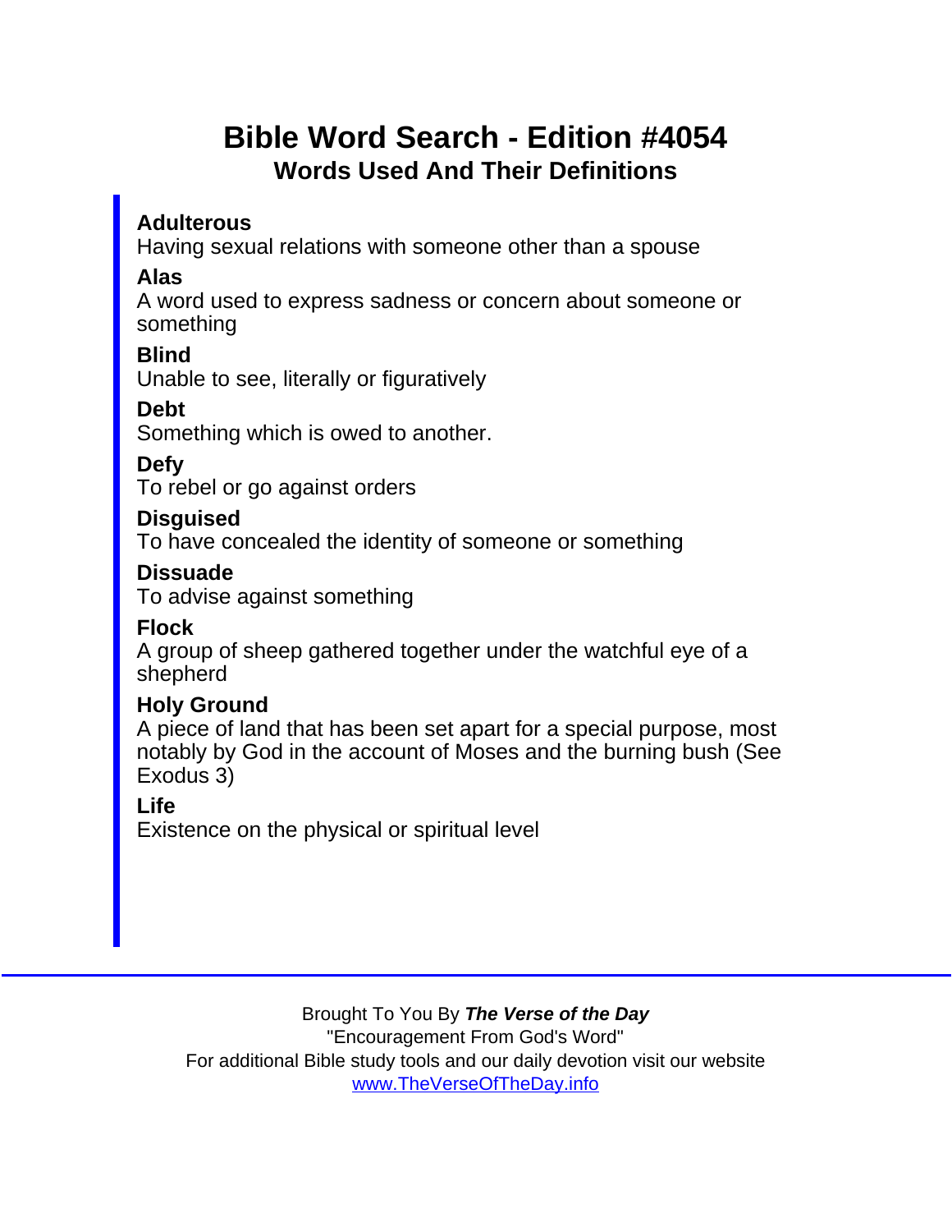## Bible Word Search - Edition #4054 Words Used And Their Definitions

**Adulterous** 

Having sexual relations with someone other than a spouse

Alas

A word used to express sadness or concern about someone or something

**Blind** 

Unable to see, literally or figuratively

Debt

Something which is owed to another.

Defy

To rebel or go against orders

Disguised

To have concealed the identity of someone or something

**Dissuade** 

To advise against something

Flock

A group of sheep gathered together under the watchful eye of a shepherd

Holy Ground

A piece of land that has been set apart for a special purpose, most notably by God in the account of Moses and the burning bush (See Exodus 3)

Life

Existence on the physical or spiritual level